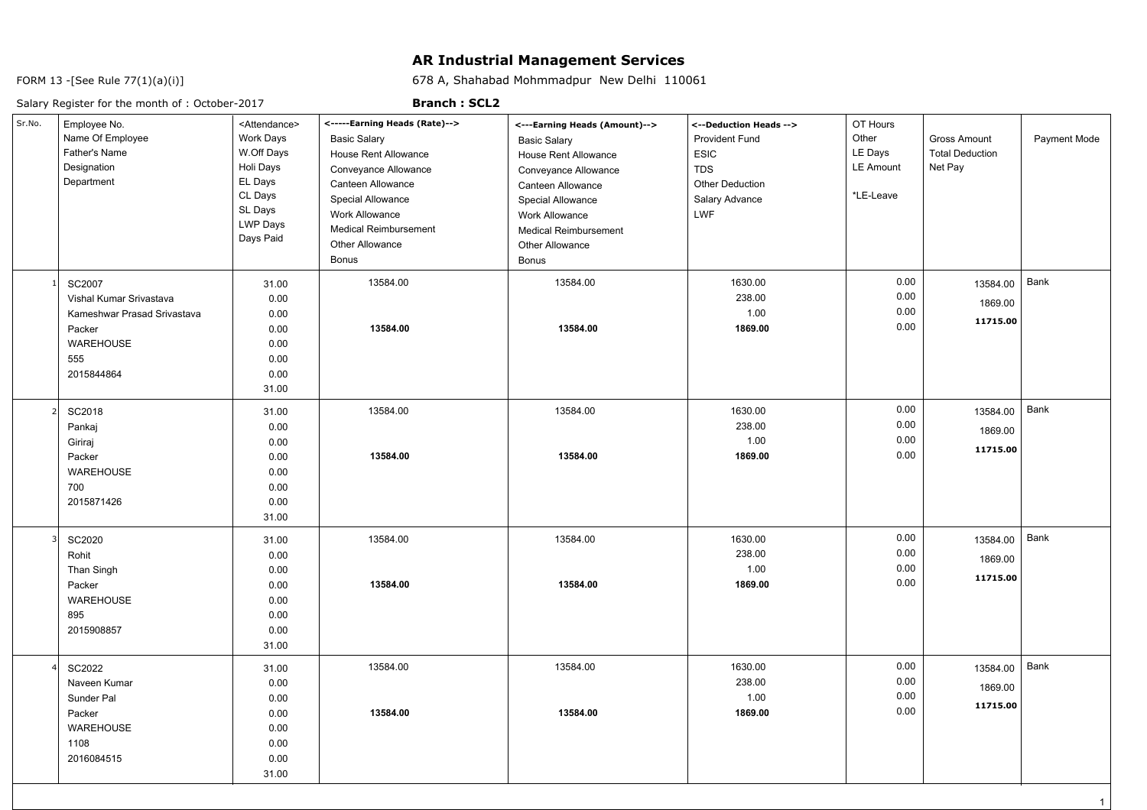## **AR Industrial Management Services**

678 A, Shahabad Mohmmadpur New Delhi 110061

FORM 13 -[See Rule 77(1)(a)(i)]

## Salary Register for the month of : October-2017

## **Branch : SCL2**

| Sr.No.                  | Employee No.<br>Name Of Employee<br>Father's Name<br>Designation<br>Department                               | <attendance><br/>Work Days<br/>W.Off Days<br/>Holi Days<br/>EL Days<br/>CL Days<br/>SL Days<br/><b>LWP Days</b><br/>Days Paid</attendance> | <-----Earning Heads (Rate)--><br><b>Basic Salary</b><br>House Rent Allowance<br>Conveyance Allowance<br>Canteen Allowance<br><b>Special Allowance</b><br>Work Allowance<br><b>Medical Reimbursement</b><br><b>Other Allowance</b><br>Bonus | <---Earning Heads (Amount)--><br><b>Basic Salary</b><br>House Rent Allowance<br>Conveyance Allowance<br>Canteen Allowance<br>Special Allowance<br><b>Work Allowance</b><br><b>Medical Reimbursement</b><br>Other Allowance<br><b>Bonus</b> | <--Deduction Heads --><br><b>Provident Fund</b><br>ESIC<br><b>TDS</b><br><b>Other Deduction</b><br>Salary Advance<br><b>LWF</b> | OT Hours<br>Other<br>LE Days<br><b>LE Amount</b><br>*LE-Leave | <b>Gross Amount</b><br><b>Total Deduction</b><br>Net Pay | Payment Mode |
|-------------------------|--------------------------------------------------------------------------------------------------------------|--------------------------------------------------------------------------------------------------------------------------------------------|--------------------------------------------------------------------------------------------------------------------------------------------------------------------------------------------------------------------------------------------|--------------------------------------------------------------------------------------------------------------------------------------------------------------------------------------------------------------------------------------------|---------------------------------------------------------------------------------------------------------------------------------|---------------------------------------------------------------|----------------------------------------------------------|--------------|
|                         | SC2007<br>Vishal Kumar Srivastava<br>Kameshwar Prasad Srivastava<br>Packer<br>WAREHOUSE<br>555<br>2015844864 | 31.00<br>0.00<br>0.00<br>0.00<br>0.00<br>0.00<br>0.00<br>31.00                                                                             | 13584.00<br>13584.00                                                                                                                                                                                                                       | 13584.00<br>13584.00                                                                                                                                                                                                                       | 1630.00<br>238.00<br>1.00<br>1869.00                                                                                            | 0.00<br>0.00<br>0.00<br>0.00                                  | 13584.00<br>1869.00<br>11715.00                          | Bank         |
|                         | SC2018<br>Pankaj<br>Giriraj<br>Packer<br>WAREHOUSE<br>700<br>2015871426                                      | 31.00<br>0.00<br>0.00<br>0.00<br>0.00<br>0.00<br>0.00<br>31.00                                                                             | 13584.00<br>13584.00                                                                                                                                                                                                                       | 13584.00<br>13584.00                                                                                                                                                                                                                       | 1630.00<br>238.00<br>1.00<br>1869.00                                                                                            | 0.00<br>0.00<br>0.00<br>0.00                                  | 13584.00<br>1869.00<br>11715.00                          | Bank         |
| $\overline{\mathbf{3}}$ | SC2020<br>Rohit<br>Than Singh<br>Packer<br>WAREHOUSE<br>895<br>2015908857                                    | 31.00<br>0.00<br>0.00<br>0.00<br>0.00<br>0.00<br>0.00<br>31.00                                                                             | 13584.00<br>13584.00                                                                                                                                                                                                                       | 13584.00<br>13584.00                                                                                                                                                                                                                       | 1630.00<br>238.00<br>1.00<br>1869.00                                                                                            | 0.00<br>0.00<br>0.00<br>0.00                                  | 13584.00<br>1869.00<br>11715.00                          | Bank         |
|                         | SC2022<br>Naveen Kumar<br>Sunder Pal<br>Packer<br>WAREHOUSE<br>1108<br>2016084515                            | 31.00<br>0.00<br>0.00<br>0.00<br>0.00<br>0.00<br>0.00<br>31.00                                                                             | 13584.00<br>13584.00                                                                                                                                                                                                                       | 13584.00<br>13584.00                                                                                                                                                                                                                       | 1630.00<br>238.00<br>1.00<br>1869.00                                                                                            | 0.00<br>0.00<br>0.00<br>0.00                                  | 13584.00<br>1869.00<br>11715.00                          | Bank         |

1